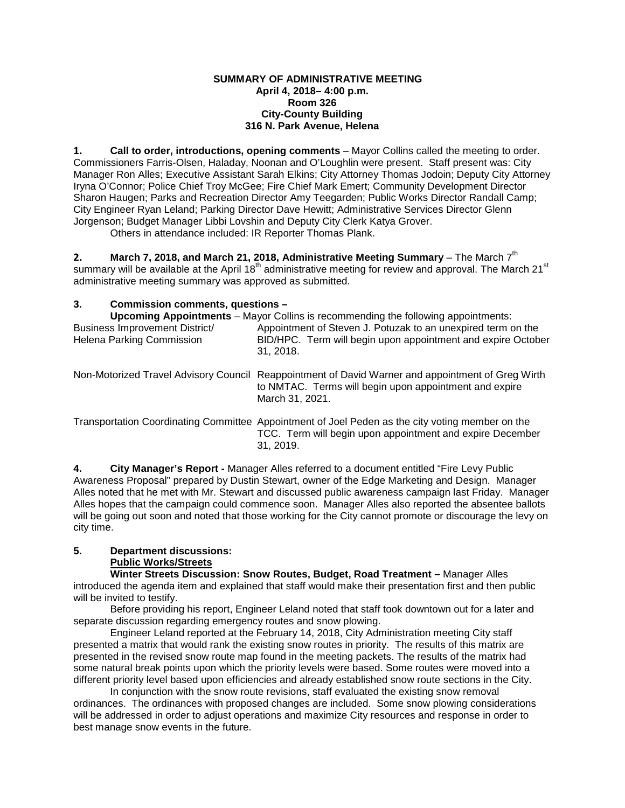#### **SUMMARY OF ADMINISTRATIVE MEETING April 4, 2018– 4:00 p.m. Room 326 City-County Building 316 N. Park Avenue, Helena**

**1. Call to order, introductions, opening comments** – Mayor Collins called the meeting to order. Commissioners Farris-Olsen, Haladay, Noonan and O'Loughlin were present. Staff present was: City Manager Ron Alles; Executive Assistant Sarah Elkins; City Attorney Thomas Jodoin; Deputy City Attorney Iryna O'Connor; Police Chief Troy McGee; Fire Chief Mark Emert; Community Development Director Sharon Haugen; Parks and Recreation Director Amy Teegarden; Public Works Director Randall Camp; City Engineer Ryan Leland; Parking Director Dave Hewitt; Administrative Services Director Glenn Jorgenson; Budget Manager Libbi Lovshin and Deputy City Clerk Katya Grover.

Others in attendance included: IR Reporter Thomas Plank.

**2. March 7, 2018, and March 21, 2018, Administrative Meeting Summary – The March 7<sup>th</sup>** summary will be available at the April 18<sup>th</sup> administrative meeting for review and approval. The March 21<sup>st</sup> administrative meeting summary was approved as submitted.

# **3. Commission comments, questions –**

| <b>Upcoming Appointments</b> – Mayor Collins is recommending the following appointments: |                                                                                                                                                                            |
|------------------------------------------------------------------------------------------|----------------------------------------------------------------------------------------------------------------------------------------------------------------------------|
| Business Improvement District/<br>Helena Parking Commission                              | Appointment of Steven J. Potuzak to an unexpired term on the<br>BID/HPC. Term will begin upon appointment and expire October<br>31, 2018.                                  |
| Non-Motorized Travel Advisory Council                                                    | Reappointment of David Warner and appointment of Greg Wirth<br>to NMTAC. Terms will begin upon appointment and expire<br>March 31, 2021.                                   |
|                                                                                          | Transportation Coordinating Committee Appointment of Joel Peden as the city voting member on the<br>TCC. Term will begin upon appointment and expire December<br>31, 2019. |

**4. City Manager's Report -** Manager Alles referred to a document entitled "Fire Levy Public Awareness Proposal" prepared by Dustin Stewart, owner of the Edge Marketing and Design. Manager Alles noted that he met with Mr. Stewart and discussed public awareness campaign last Friday. Manager Alles hopes that the campaign could commence soon. Manager Alles also reported the absentee ballots will be going out soon and noted that those working for the City cannot promote or discourage the levy on city time.

# **5. Department discussions:**

# **Public Works/Streets**

**Winter Streets Discussion: Snow Routes, Budget, Road Treatment –** Manager Alles introduced the agenda item and explained that staff would make their presentation first and then public will be invited to testify.

Before providing his report, Engineer Leland noted that staff took downtown out for a later and separate discussion regarding emergency routes and snow plowing.

Engineer Leland reported at the February 14, 2018, City Administration meeting City staff presented a matrix that would rank the existing snow routes in priority. The results of this matrix are presented in the revised snow route map found in the meeting packets. The results of the matrix had some natural break points upon which the priority levels were based. Some routes were moved into a different priority level based upon efficiencies and already established snow route sections in the City.

In conjunction with the snow route revisions, staff evaluated the existing snow removal ordinances. The ordinances with proposed changes are included. Some snow plowing considerations will be addressed in order to adjust operations and maximize City resources and response in order to best manage snow events in the future.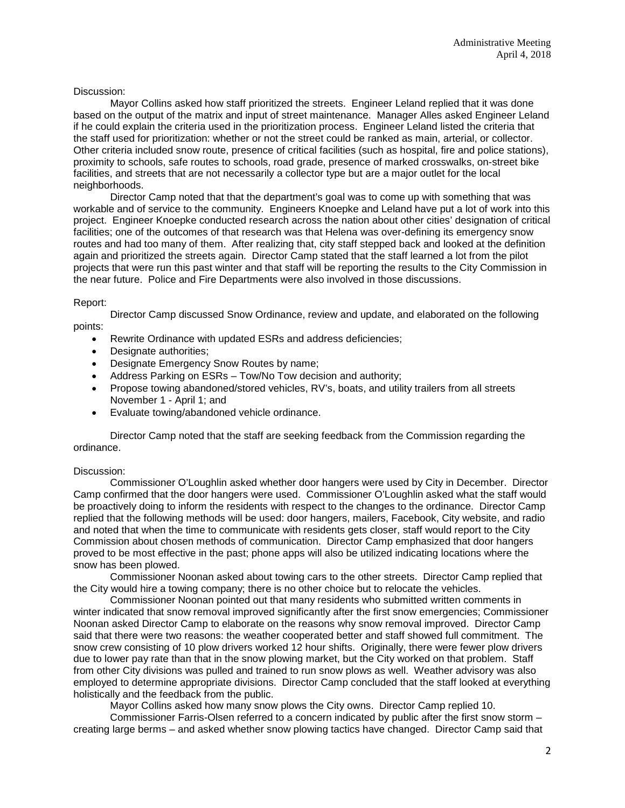### Discussion:

Mayor Collins asked how staff prioritized the streets. Engineer Leland replied that it was done based on the output of the matrix and input of street maintenance. Manager Alles asked Engineer Leland if he could explain the criteria used in the prioritization process. Engineer Leland listed the criteria that the staff used for prioritization: whether or not the street could be ranked as main, arterial, or collector. Other criteria included snow route, presence of critical facilities (such as hospital, fire and police stations), proximity to schools, safe routes to schools, road grade, presence of marked crosswalks, on-street bike facilities, and streets that are not necessarily a collector type but are a major outlet for the local neighborhoods.

Director Camp noted that that the department's goal was to come up with something that was workable and of service to the community. Engineers Knoepke and Leland have put a lot of work into this project. Engineer Knoepke conducted research across the nation about other cities' designation of critical facilities; one of the outcomes of that research was that Helena was over-defining its emergency snow routes and had too many of them. After realizing that, city staff stepped back and looked at the definition again and prioritized the streets again. Director Camp stated that the staff learned a lot from the pilot projects that were run this past winter and that staff will be reporting the results to the City Commission in the near future. Police and Fire Departments were also involved in those discussions.

#### Report:

Director Camp discussed Snow Ordinance, review and update, and elaborated on the following points:

- Rewrite Ordinance with updated ESRs and address deficiencies;
- Designate authorities;
- Designate Emergency Snow Routes by name;
- Address Parking on ESRs Tow/No Tow decision and authority;
- Propose towing abandoned/stored vehicles, RV's, boats, and utility trailers from all streets November 1 - April 1; and
- Evaluate towing/abandoned vehicle ordinance.

Director Camp noted that the staff are seeking feedback from the Commission regarding the ordinance.

#### Discussion:

Commissioner O'Loughlin asked whether door hangers were used by City in December. Director Camp confirmed that the door hangers were used. Commissioner O'Loughlin asked what the staff would be proactively doing to inform the residents with respect to the changes to the ordinance. Director Camp replied that the following methods will be used: door hangers, mailers, Facebook, City website, and radio and noted that when the time to communicate with residents gets closer, staff would report to the City Commission about chosen methods of communication. Director Camp emphasized that door hangers proved to be most effective in the past; phone apps will also be utilized indicating locations where the snow has been plowed.

Commissioner Noonan asked about towing cars to the other streets. Director Camp replied that the City would hire a towing company; there is no other choice but to relocate the vehicles.

Commissioner Noonan pointed out that many residents who submitted written comments in winter indicated that snow removal improved significantly after the first snow emergencies; Commissioner Noonan asked Director Camp to elaborate on the reasons why snow removal improved. Director Camp said that there were two reasons: the weather cooperated better and staff showed full commitment. The snow crew consisting of 10 plow drivers worked 12 hour shifts. Originally, there were fewer plow drivers due to lower pay rate than that in the snow plowing market, but the City worked on that problem. Staff from other City divisions was pulled and trained to run snow plows as well. Weather advisory was also employed to determine appropriate divisions. Director Camp concluded that the staff looked at everything holistically and the feedback from the public.

Mayor Collins asked how many snow plows the City owns. Director Camp replied 10.

Commissioner Farris-Olsen referred to a concern indicated by public after the first snow storm – creating large berms – and asked whether snow plowing tactics have changed. Director Camp said that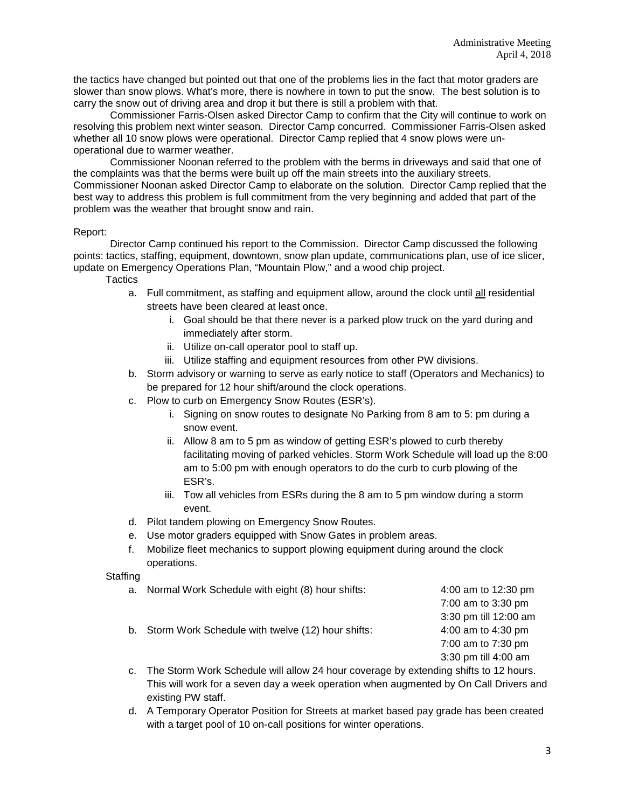the tactics have changed but pointed out that one of the problems lies in the fact that motor graders are slower than snow plows. What's more, there is nowhere in town to put the snow. The best solution is to carry the snow out of driving area and drop it but there is still a problem with that.

Commissioner Farris-Olsen asked Director Camp to confirm that the City will continue to work on resolving this problem next winter season. Director Camp concurred. Commissioner Farris-Olsen asked whether all 10 snow plows were operational. Director Camp replied that 4 snow plows were unoperational due to warmer weather.

Commissioner Noonan referred to the problem with the berms in driveways and said that one of the complaints was that the berms were built up off the main streets into the auxiliary streets. Commissioner Noonan asked Director Camp to elaborate on the solution. Director Camp replied that the best way to address this problem is full commitment from the very beginning and added that part of the problem was the weather that brought snow and rain.

#### Report:

Director Camp continued his report to the Commission. Director Camp discussed the following points: tactics, staffing, equipment, downtown, snow plan update, communications plan, use of ice slicer, update on Emergency Operations Plan, "Mountain Plow," and a wood chip project.

**Tactics** 

- a. Full commitment, as staffing and equipment allow, around the clock until all residential streets have been cleared at least once.
	- i. Goal should be that there never is a parked plow truck on the yard during and immediately after storm.
	- ii. Utilize on-call operator pool to staff up.
	- iii. Utilize staffing and equipment resources from other PW divisions.
- b. Storm advisory or warning to serve as early notice to staff (Operators and Mechanics) to be prepared for 12 hour shift/around the clock operations.
- c. Plow to curb on Emergency Snow Routes (ESR's).
	- i. Signing on snow routes to designate No Parking from 8 am to 5: pm during a snow event.
	- ii. Allow 8 am to 5 pm as window of getting ESR's plowed to curb thereby facilitating moving of parked vehicles. Storm Work Schedule will load up the 8:00 am to 5:00 pm with enough operators to do the curb to curb plowing of the ESR's.
	- iii. Tow all vehicles from ESRs during the 8 am to 5 pm window during a storm event.
- d. Pilot tandem plowing on Emergency Snow Routes.
- e. Use motor graders equipped with Snow Gates in problem areas.
- f. Mobilize fleet mechanics to support plowing equipment during around the clock operations.

#### Staffing

- a. Normal Work Schedule with eight (8) hour shifts: 4:00 am to 12:30 pm 7:00 am to 3:30 pm 3:30 pm till 12:00 am b. Storm Work Schedule with twelve (12) hour shifts: 4:00 am to 4:30 pm 7:00 am to 7:30 pm 3:30 pm till 4:00 am c. The Storm Work Schedule will allow 24 hour coverage by extending shifts to 12 hours.
- This will work for a seven day a week operation when augmented by On Call Drivers and existing PW staff.
- d. A Temporary Operator Position for Streets at market based pay grade has been created with a target pool of 10 on-call positions for winter operations.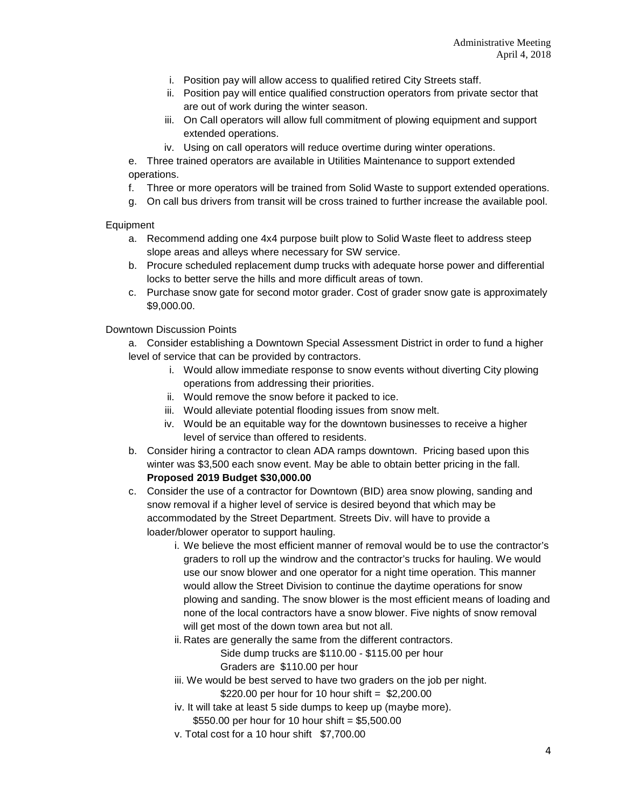- i. Position pay will allow access to qualified retired City Streets staff.
- ii. Position pay will entice qualified construction operators from private sector that are out of work during the winter season.
- iii. On Call operators will allow full commitment of plowing equipment and support extended operations.
- iv. Using on call operators will reduce overtime during winter operations.

e. Three trained operators are available in Utilities Maintenance to support extended operations.

f. Three or more operators will be trained from Solid Waste to support extended operations.

g. On call bus drivers from transit will be cross trained to further increase the available pool.

## Equipment

- a. Recommend adding one 4x4 purpose built plow to Solid Waste fleet to address steep slope areas and alleys where necessary for SW service.
- b. Procure scheduled replacement dump trucks with adequate horse power and differential locks to better serve the hills and more difficult areas of town.
- c. Purchase snow gate for second motor grader. Cost of grader snow gate is approximately \$9,000.00.

## Downtown Discussion Points

a. Consider establishing a Downtown Special Assessment District in order to fund a higher level of service that can be provided by contractors.

- i. Would allow immediate response to snow events without diverting City plowing operations from addressing their priorities.
- ii. Would remove the snow before it packed to ice.
- iii. Would alleviate potential flooding issues from snow melt.
- iv. Would be an equitable way for the downtown businesses to receive a higher level of service than offered to residents.
- b. Consider hiring a contractor to clean ADA ramps downtown. Pricing based upon this winter was \$3,500 each snow event. May be able to obtain better pricing in the fall. **Proposed 2019 Budget \$30,000.00**
- c. Consider the use of a contractor for Downtown (BID) area snow plowing, sanding and snow removal if a higher level of service is desired beyond that which may be accommodated by the Street Department. Streets Div. will have to provide a loader/blower operator to support hauling.
	- i. We believe the most efficient manner of removal would be to use the contractor's graders to roll up the windrow and the contractor's trucks for hauling. We would use our snow blower and one operator for a night time operation. This manner would allow the Street Division to continue the daytime operations for snow plowing and sanding. The snow blower is the most efficient means of loading and none of the local contractors have a snow blower. Five nights of snow removal will get most of the down town area but not all.
	- ii. Rates are generally the same from the different contractors.

Side dump trucks are \$110.00 - \$115.00 per hour

Graders are \$110.00 per hour

- iii. We would be best served to have two graders on the job per night. \$220.00 per hour for 10 hour shift =  $$2,200.00$
- iv. It will take at least 5 side dumps to keep up (maybe more).
- \$550.00 per hour for 10 hour shift = \$5,500.00
- v. Total cost for a 10 hour shift \$7,700.00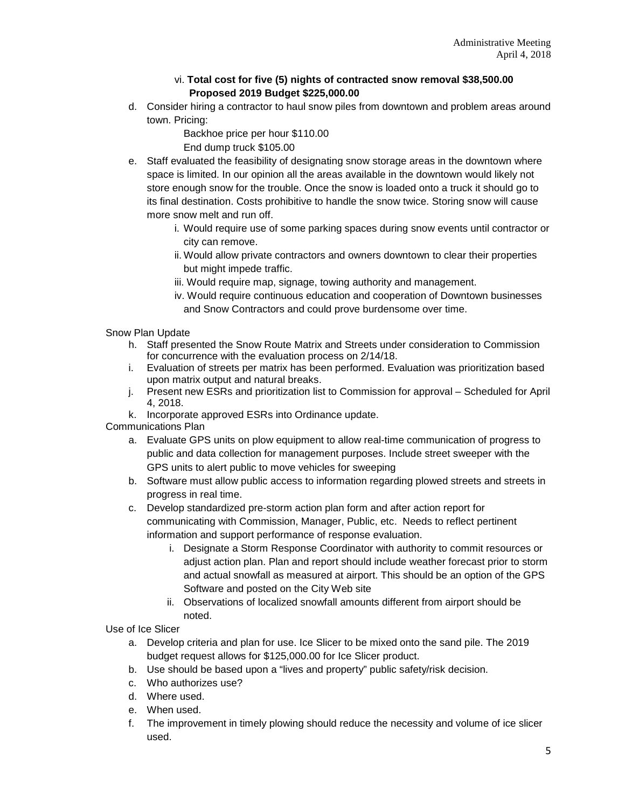# vi. **Total cost for five (5) nights of contracted snow removal \$38,500.00 Proposed 2019 Budget \$225,000.00**

d. Consider hiring a contractor to haul snow piles from downtown and problem areas around town. Pricing:

> Backhoe price per hour \$110.00 End dump truck \$105.00

- e. Staff evaluated the feasibility of designating snow storage areas in the downtown where space is limited. In our opinion all the areas available in the downtown would likely not store enough snow for the trouble. Once the snow is loaded onto a truck it should go to its final destination. Costs prohibitive to handle the snow twice. Storing snow will cause more snow melt and run off.
	- i. Would require use of some parking spaces during snow events until contractor or city can remove.
	- ii. Would allow private contractors and owners downtown to clear their properties but might impede traffic.
	- iii. Would require map, signage, towing authority and management.
	- iv. Would require continuous education and cooperation of Downtown businesses and Snow Contractors and could prove burdensome over time.

Snow Plan Update

- h. Staff presented the Snow Route Matrix and Streets under consideration to Commission for concurrence with the evaluation process on 2/14/18.
- i. Evaluation of streets per matrix has been performed. Evaluation was prioritization based upon matrix output and natural breaks.
- j. Present new ESRs and prioritization list to Commission for approval Scheduled for April 4, 2018.
- k. Incorporate approved ESRs into Ordinance update.

Communications Plan

- a. Evaluate GPS units on plow equipment to allow real-time communication of progress to public and data collection for management purposes. Include street sweeper with the GPS units to alert public to move vehicles for sweeping
- b. Software must allow public access to information regarding plowed streets and streets in progress in real time.
- c. Develop standardized pre-storm action plan form and after action report for communicating with Commission, Manager, Public, etc. Needs to reflect pertinent information and support performance of response evaluation.
	- i. Designate a Storm Response Coordinator with authority to commit resources or adjust action plan. Plan and report should include weather forecast prior to storm and actual snowfall as measured at airport. This should be an option of the GPS Software and posted on the City Web site
	- ii. Observations of localized snowfall amounts different from airport should be noted.

Use of Ice Slicer

- a. Develop criteria and plan for use. Ice Slicer to be mixed onto the sand pile. The 2019 budget request allows for \$125,000.00 for Ice Slicer product.
- b. Use should be based upon a "lives and property" public safety/risk decision.
- c. Who authorizes use?
- d. Where used.
- e. When used.
- f. The improvement in timely plowing should reduce the necessity and volume of ice slicer used.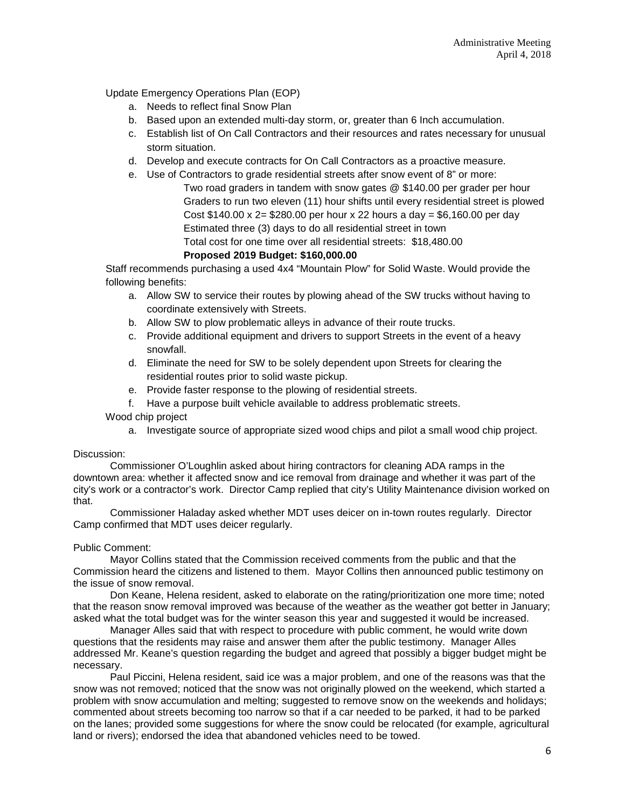Update Emergency Operations Plan (EOP)

- a. Needs to reflect final Snow Plan
- b. Based upon an extended multi-day storm, or, greater than 6 Inch accumulation.
- c. Establish list of On Call Contractors and their resources and rates necessary for unusual storm situation.
- d. Develop and execute contracts for On Call Contractors as a proactive measure.
- e. Use of Contractors to grade residential streets after snow event of 8" or more:
	- Two road graders in tandem with snow gates @ \$140.00 per grader per hour Graders to run two eleven (11) hour shifts until every residential street is plowed Cost \$140.00 x 2= \$280.00 per hour x 22 hours a day = \$6,160.00 per day Estimated three (3) days to do all residential street in town Total cost for one time over all residential streets: \$18,480.00 **Proposed 2019 Budget: \$160,000.00**

Staff recommends purchasing a used 4x4 "Mountain Plow" for Solid Waste. Would provide the following benefits:

- a. Allow SW to service their routes by plowing ahead of the SW trucks without having to coordinate extensively with Streets.
- b. Allow SW to plow problematic alleys in advance of their route trucks.
- c. Provide additional equipment and drivers to support Streets in the event of a heavy snowfall.
- d. Eliminate the need for SW to be solely dependent upon Streets for clearing the residential routes prior to solid waste pickup.
- e. Provide faster response to the plowing of residential streets.
- f. Have a purpose built vehicle available to address problematic streets.

Wood chip project

a. Investigate source of appropriate sized wood chips and pilot a small wood chip project.

Discussion:

Commissioner O'Loughlin asked about hiring contractors for cleaning ADA ramps in the downtown area: whether it affected snow and ice removal from drainage and whether it was part of the city's work or a contractor's work. Director Camp replied that city's Utility Maintenance division worked on that.

Commissioner Haladay asked whether MDT uses deicer on in-town routes regularly. Director Camp confirmed that MDT uses deicer regularly.

#### Public Comment:

Mayor Collins stated that the Commission received comments from the public and that the Commission heard the citizens and listened to them. Mayor Collins then announced public testimony on the issue of snow removal.

Don Keane, Helena resident, asked to elaborate on the rating/prioritization one more time; noted that the reason snow removal improved was because of the weather as the weather got better in January; asked what the total budget was for the winter season this year and suggested it would be increased.

Manager Alles said that with respect to procedure with public comment, he would write down questions that the residents may raise and answer them after the public testimony. Manager Alles addressed Mr. Keane's question regarding the budget and agreed that possibly a bigger budget might be necessary.

Paul Piccini, Helena resident, said ice was a major problem, and one of the reasons was that the snow was not removed; noticed that the snow was not originally plowed on the weekend, which started a problem with snow accumulation and melting; suggested to remove snow on the weekends and holidays; commented about streets becoming too narrow so that if a car needed to be parked, it had to be parked on the lanes; provided some suggestions for where the snow could be relocated (for example, agricultural land or rivers); endorsed the idea that abandoned vehicles need to be towed.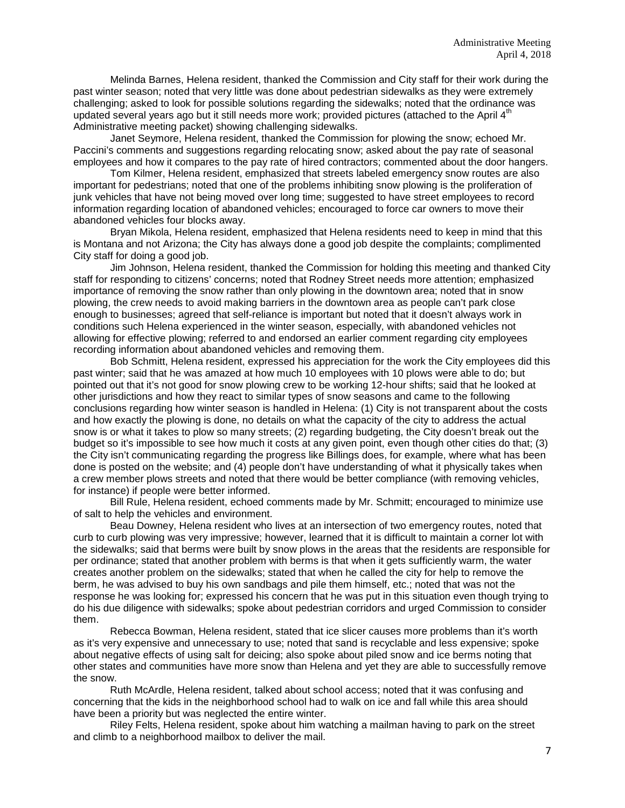Melinda Barnes, Helena resident, thanked the Commission and City staff for their work during the past winter season; noted that very little was done about pedestrian sidewalks as they were extremely challenging; asked to look for possible solutions regarding the sidewalks; noted that the ordinance was updated several years ago but it still needs more work; provided pictures (attached to the April 4<sup>th</sup> Administrative meeting packet) showing challenging sidewalks.

Janet Seymore, Helena resident, thanked the Commission for plowing the snow; echoed Mr. Paccini's comments and suggestions regarding relocating snow; asked about the pay rate of seasonal employees and how it compares to the pay rate of hired contractors; commented about the door hangers.

Tom Kilmer, Helena resident, emphasized that streets labeled emergency snow routes are also important for pedestrians; noted that one of the problems inhibiting snow plowing is the proliferation of junk vehicles that have not being moved over long time; suggested to have street employees to record information regarding location of abandoned vehicles; encouraged to force car owners to move their abandoned vehicles four blocks away.

Bryan Mikola, Helena resident, emphasized that Helena residents need to keep in mind that this is Montana and not Arizona; the City has always done a good job despite the complaints; complimented City staff for doing a good job.

Jim Johnson, Helena resident, thanked the Commission for holding this meeting and thanked City staff for responding to citizens' concerns; noted that Rodney Street needs more attention; emphasized importance of removing the snow rather than only plowing in the downtown area; noted that in snow plowing, the crew needs to avoid making barriers in the downtown area as people can't park close enough to businesses; agreed that self-reliance is important but noted that it doesn't always work in conditions such Helena experienced in the winter season, especially, with abandoned vehicles not allowing for effective plowing; referred to and endorsed an earlier comment regarding city employees recording information about abandoned vehicles and removing them.

Bob Schmitt, Helena resident, expressed his appreciation for the work the City employees did this past winter; said that he was amazed at how much 10 employees with 10 plows were able to do; but pointed out that it's not good for snow plowing crew to be working 12-hour shifts; said that he looked at other jurisdictions and how they react to similar types of snow seasons and came to the following conclusions regarding how winter season is handled in Helena: (1) City is not transparent about the costs and how exactly the plowing is done, no details on what the capacity of the city to address the actual snow is or what it takes to plow so many streets; (2) regarding budgeting, the City doesn't break out the budget so it's impossible to see how much it costs at any given point, even though other cities do that; (3) the City isn't communicating regarding the progress like Billings does, for example, where what has been done is posted on the website; and (4) people don't have understanding of what it physically takes when a crew member plows streets and noted that there would be better compliance (with removing vehicles, for instance) if people were better informed.

Bill Rule, Helena resident, echoed comments made by Mr. Schmitt; encouraged to minimize use of salt to help the vehicles and environment.

Beau Downey, Helena resident who lives at an intersection of two emergency routes, noted that curb to curb plowing was very impressive; however, learned that it is difficult to maintain a corner lot with the sidewalks; said that berms were built by snow plows in the areas that the residents are responsible for per ordinance; stated that another problem with berms is that when it gets sufficiently warm, the water creates another problem on the sidewalks; stated that when he called the city for help to remove the berm, he was advised to buy his own sandbags and pile them himself, etc.; noted that was not the response he was looking for; expressed his concern that he was put in this situation even though trying to do his due diligence with sidewalks; spoke about pedestrian corridors and urged Commission to consider them.

Rebecca Bowman, Helena resident, stated that ice slicer causes more problems than it's worth as it's very expensive and unnecessary to use; noted that sand is recyclable and less expensive; spoke about negative effects of using salt for deicing; also spoke about piled snow and ice berms noting that other states and communities have more snow than Helena and yet they are able to successfully remove the snow.

Ruth McArdle, Helena resident, talked about school access; noted that it was confusing and concerning that the kids in the neighborhood school had to walk on ice and fall while this area should have been a priority but was neglected the entire winter.

Riley Felts, Helena resident, spoke about him watching a mailman having to park on the street and climb to a neighborhood mailbox to deliver the mail.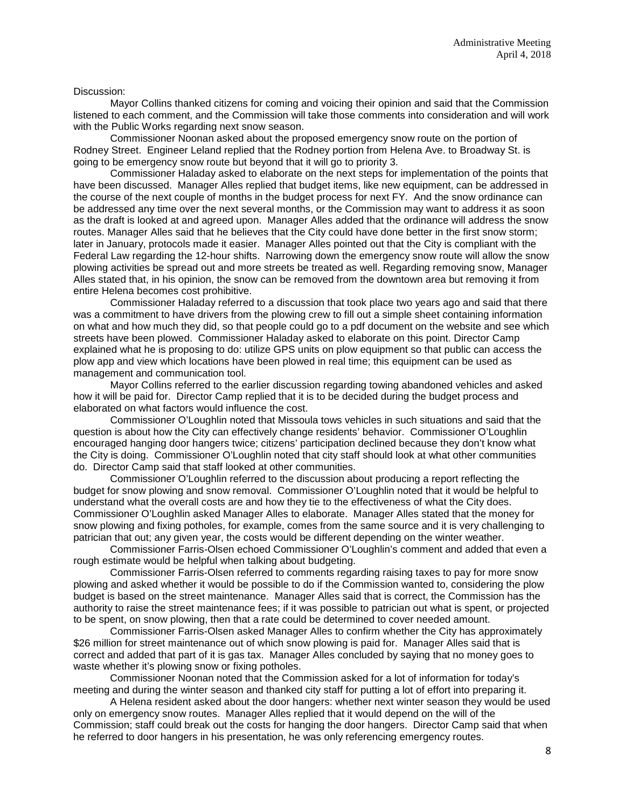#### Discussion:

Mayor Collins thanked citizens for coming and voicing their opinion and said that the Commission listened to each comment, and the Commission will take those comments into consideration and will work with the Public Works regarding next snow season.

Commissioner Noonan asked about the proposed emergency snow route on the portion of Rodney Street. Engineer Leland replied that the Rodney portion from Helena Ave. to Broadway St. is going to be emergency snow route but beyond that it will go to priority 3.

Commissioner Haladay asked to elaborate on the next steps for implementation of the points that have been discussed. Manager Alles replied that budget items, like new equipment, can be addressed in the course of the next couple of months in the budget process for next FY. And the snow ordinance can be addressed any time over the next several months, or the Commission may want to address it as soon as the draft is looked at and agreed upon. Manager Alles added that the ordinance will address the snow routes. Manager Alles said that he believes that the City could have done better in the first snow storm; later in January, protocols made it easier. Manager Alles pointed out that the City is compliant with the Federal Law regarding the 12-hour shifts. Narrowing down the emergency snow route will allow the snow plowing activities be spread out and more streets be treated as well. Regarding removing snow, Manager Alles stated that, in his opinion, the snow can be removed from the downtown area but removing it from entire Helena becomes cost prohibitive.

Commissioner Haladay referred to a discussion that took place two years ago and said that there was a commitment to have drivers from the plowing crew to fill out a simple sheet containing information on what and how much they did, so that people could go to a pdf document on the website and see which streets have been plowed. Commissioner Haladay asked to elaborate on this point. Director Camp explained what he is proposing to do: utilize GPS units on plow equipment so that public can access the plow app and view which locations have been plowed in real time; this equipment can be used as management and communication tool.

Mayor Collins referred to the earlier discussion regarding towing abandoned vehicles and asked how it will be paid for. Director Camp replied that it is to be decided during the budget process and elaborated on what factors would influence the cost.

Commissioner O'Loughlin noted that Missoula tows vehicles in such situations and said that the question is about how the City can effectively change residents' behavior. Commissioner O'Loughlin encouraged hanging door hangers twice; citizens' participation declined because they don't know what the City is doing. Commissioner O'Loughlin noted that city staff should look at what other communities do. Director Camp said that staff looked at other communities.

Commissioner O'Loughlin referred to the discussion about producing a report reflecting the budget for snow plowing and snow removal. Commissioner O'Loughlin noted that it would be helpful to understand what the overall costs are and how they tie to the effectiveness of what the City does. Commissioner O'Loughlin asked Manager Alles to elaborate. Manager Alles stated that the money for snow plowing and fixing potholes, for example, comes from the same source and it is very challenging to patrician that out; any given year, the costs would be different depending on the winter weather.

Commissioner Farris-Olsen echoed Commissioner O'Loughlin's comment and added that even a rough estimate would be helpful when talking about budgeting.

Commissioner Farris-Olsen referred to comments regarding raising taxes to pay for more snow plowing and asked whether it would be possible to do if the Commission wanted to, considering the plow budget is based on the street maintenance. Manager Alles said that is correct, the Commission has the authority to raise the street maintenance fees; if it was possible to patrician out what is spent, or projected to be spent, on snow plowing, then that a rate could be determined to cover needed amount.

Commissioner Farris-Olsen asked Manager Alles to confirm whether the City has approximately \$26 million for street maintenance out of which snow plowing is paid for. Manager Alles said that is correct and added that part of it is gas tax. Manager Alles concluded by saying that no money goes to waste whether it's plowing snow or fixing potholes.

Commissioner Noonan noted that the Commission asked for a lot of information for today's meeting and during the winter season and thanked city staff for putting a lot of effort into preparing it.

A Helena resident asked about the door hangers: whether next winter season they would be used only on emergency snow routes. Manager Alles replied that it would depend on the will of the Commission; staff could break out the costs for hanging the door hangers. Director Camp said that when he referred to door hangers in his presentation, he was only referencing emergency routes.